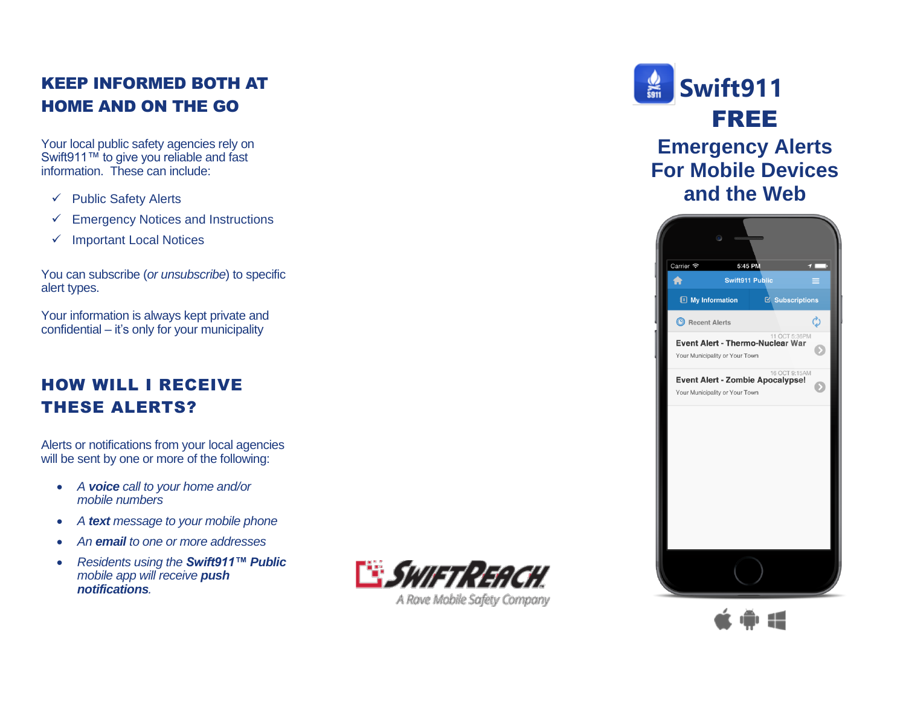## KEEP INFORMED BOTH AT HOME AND ON THE GO

Your local public safety agencies rely on Swift911™ to give you reliable and fast information. The s e can include:

- ✓ Public Safety Alerts
- ✓ Emergency Notices and Instructions
- ✓ Important Local Notices

You can subscribe (*or unsubscribe*) to specific alert types.

Your information is always kept private and confidential – it's only for your municipality

## HOW WILL I RECEIVE THESE ALERTS ?

Alerts or notifications from your local agencies will be sent by one or more of the following:

- *A voice call to your home and/or mobile numbers*
- *A text message to your mobile phone*
- *An email to one or more addresses*
- *Residents using the Swift911™ Public mobile app will receive push notifications .*



A Rave Mobile Safety Company